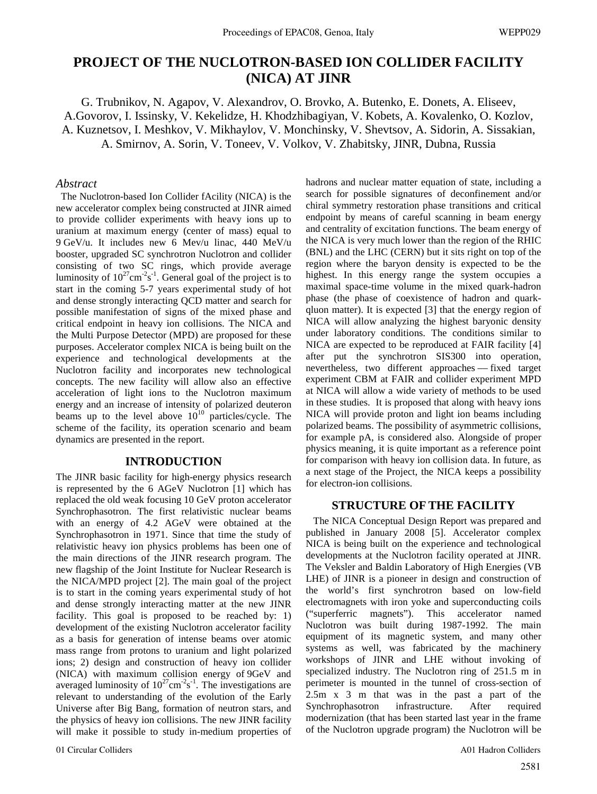# **PROJECT OF THE NUCLOTRON-BASED ION COLLIDER FACILITY (NICA) AT JINR**

G. Trubnikov, N. Agapov, V. Alexandrov, O. Brovko, A. Butenko, E. Donets, A. Eliseev, A.Govorov, I. Issinsky, V. Kekelidze, H. Khodzhibagiyan, V. Kobets, A. Kovalenko, O. Kozlov, A. Kuznetsov, I. Meshkov, V. Mikhaylov, V. Monchinsky, V. Shevtsov, A. Sidorin, A. Sissakian, A. Smirnov, A. Sorin, V. Toneev, V. Volkov, V. Zhabitsky, JINR, Dubna, Russia

### *Abstract*

 The Nuclotron-based Ion Collider fAcility (NICA) is the new accelerator complex being constructed at JINR aimed to provide collider experiments with heavy ions up to uranium at maximum energy (center of mass) equal to 9 GeV/u. It includes new 6 Mev/u linac, 440 MeV/u booster, upgraded SC synchrotron Nuclotron and collider consisting of two SC rings, which provide average luminosity of  $10^{27}$ cm<sup>-2</sup>s<sup>-1</sup>. General goal of the project is to start in the coming 5-7 years experimental study of hot and dense strongly interacting QCD matter and search for possible manifestation of signs of the mixed phase and critical endpoint in heavy ion collisions. The NICA and the Multi Purpose Detector (MPD) are proposed for these purposes. Accelerator complex NICA is being built on the experience and technological developments at the Nuclotron facility and incorporates new technological concepts. The new facility will allow also an effective acceleration of light ions to the Nuclotron maximum energy and an increase of intensity of polarized deuteron beams up to the level above  $10^{10}$  particles/cycle. The scheme of the facility, its operation scenario and beam dynamics are presented in the report.

# **INTRODUCTION**

The JINR basic facility for high-energy physics research is represented by the 6 AGeV Nuclotron [1] which has replaced the old weak focusing 10 GeV proton accelerator Synchrophasotron. The first relativistic nuclear beams with an energy of 4.2 AGeV were obtained at the Synchrophasotron in 1971. Since that time the study of relativistic heavy ion physics problems has been one of the main directions of the JINR research program. The new flagship of the Joint Institute for Nuclear Research is the NICA/MPD project [2]. The main goal of the project is to start in the coming years experimental study of hot and dense strongly interacting matter at the new JINR facility. This goal is proposed to be reached by: 1) development of the existing Nuclotron accelerator facility as a basis for generation of intense beams over atomic mass range from protons to uranium and light polarized ions; 2) design and construction of heavy ion collider (NICA) with maximum collision energy of 9GeV and averaged luminosity of  $10^{27}$ cm<sup>-2</sup>s<sup>-1</sup>. The investigations are relevant to understanding of the evolution of the Early Universe after Big Bang, formation of neutron stars, and the physics of heavy ion collisions. The new JINR facility will make it possible to study in-medium properties of

01 Circular Colliders A01 Hadron Colliders

hadrons and nuclear matter equation of state, including a search for possible signatures of deconfinement and/or chiral symmetry restoration phase transitions and critical endpoint by means of careful scanning in beam energy and centrality of excitation functions. The beam energy of the NICA is very much lower than the region of the RHIC (BNL) and the LHC (CERN) but it sits right on top of the region where the baryon density is expected to be the highest. In this energy range the system occupies a maximal space-time volume in the mixed quark-hadron phase (the phase of coexistence of hadron and quarkqluon matter). It is expected [3] that the energy region of NICA will allow analyzing the highest baryonic density under laboratory conditions. The conditions similar to NICA are expected to be reproduced at FAIR facility [4] after put the synchrotron SIS300 into operation, nevertheless, two different approaches –– fixed target experiment CBM at FAIR and collider experiment MPD at NICA will allow a wide variety of methods to be used in these studies. It is proposed that along with heavy ions NICA will provide proton and light ion beams including polarized beams. The possibility of asymmetric collisions, for example pA, is considered also. Alongside of proper physics meaning, it is quite important as a reference point for comparison with heavy ion collision data. In future, as a next stage of the Project, the NICA keeps a possibility for electron-ion collisions.

### **STRUCTURE OF THE FACILITY**

 The NICA Conceptual Design Report was prepared and published in January 2008 [5]. Accelerator complex NICA is being built on the experience and technological developments at the Nuclotron facility operated at JINR. The Veksler and Baldin Laboratory of High Energies (VB LHE) of JINR is a pioneer in design and construction of the world's first synchrotron based on low-field electromagnets with iron yoke and superconducting coils ("superferric magnets"). This accelerator named Nuclotron was built during 1987-1992. The main equipment of its magnetic system, and many other systems as well, was fabricated by the machinery workshops of JINR and LHE without invoking of specialized industry. The Nuclotron ring of 251.5 m in perimeter is mounted in the tunnel of cross-section of 2.5m x 3 m that was in the past a part of the Synchrophasotron infrastructure. After required modernization (that has been started last year in the frame of the Nuclotron upgrade program) the Nuclotron will be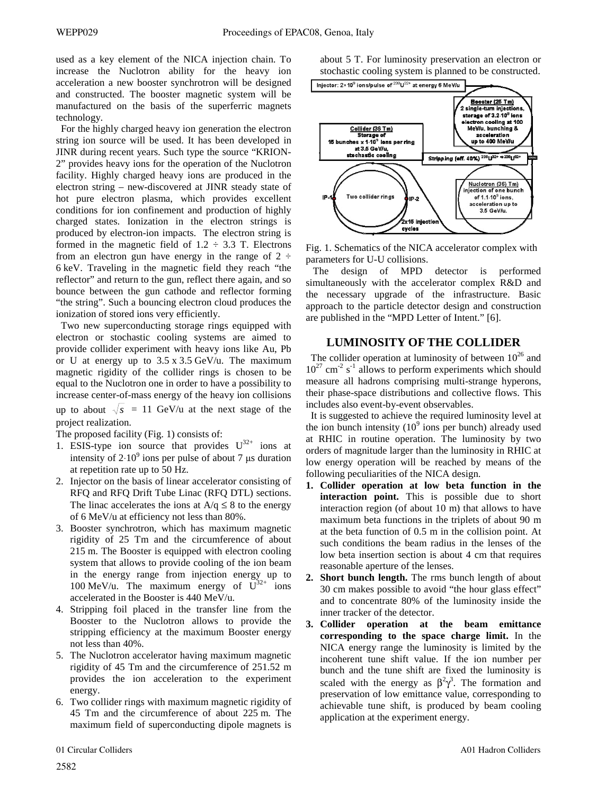used as a key element of the NICA injection chain. To increase the Nuclotron ability for the heavy ion acceleration a new booster synchrotron will be designed and constructed. The booster magnetic system will be manufactured on the basis of the superferric magnets technology.

 For the highly charged heavy ion generation the electron string ion source will be used. It has been developed in JINR during recent years. Such type the source "KRION-2" provides heavy ions for the operation of the Nuclotron facility. Highly charged heavy ions are produced in the electron string – new-discovered at JINR steady state of hot pure electron plasma, which provides excellent conditions for ion confinement and production of highly charged states. Ionization in the electron strings is produced by electron-ion impacts. The electron string is formed in the magnetic field of  $1.2 \div 3.3$  T. Electrons from an electron gun have energy in the range of  $2 \div$ 6 keV. Traveling in the magnetic field they reach "the reflector" and return to the gun, reflect there again, and so bounce between the gun cathode and reflector forming "the string". Such a bouncing electron cloud produces the ionization of stored ions very efficiently.

 Two new superconducting storage rings equipped with electron or stochastic cooling systems are aimed to provide collider experiment with heavy ions like Au, Pb or U at energy up to 3.5 x 3.5 GeV/u. The maximum magnetic rigidity of the collider rings is chosen to be equal to the Nuclotron one in order to have a possibility to increase center-of-mass energy of the heavy ion collisions up to about  $\sqrt{s}$  = 11 GeV/u at the next stage of the project realization.

The proposed facility (Fig. 1) consists of:

- 1. ESIS-type ion source that provides  $U^{32+}$  ions at intensity of  $2.10^9$  ions per pulse of about 7 µs duration at repetition rate up to 50 Hz.
- 2. Injector on the basis of linear accelerator consisting of RFQ and RFQ Drift Tube Linac (RFQ DTL) sections. The linac accelerates the ions at  $A/q \leq 8$  to the energy of 6 MeV/u at efficiency not less than 80%.
- 3. Booster synchrotron, which has maximum magnetic rigidity of 25 Tm and the circumference of about 215 m. The Booster is equipped with electron cooling system that allows to provide cooling of the ion beam in the energy range from injection energy up to 100 MeV/u. The maximum energy of  $U^{32+}$  ions accelerated in the Booster is 440 MeV/u.
- 4. Stripping foil placed in the transfer line from the Booster to the Nuclotron allows to provide the stripping efficiency at the maximum Booster energy not less than 40%.
- 5. The Nuclotron accelerator having maximum magnetic rigidity of 45 Tm and the circumference of 251.52 m provides the ion acceleration to the experiment energy.
- 6. Two collider rings with maximum magnetic rigidity of 45 Tm and the circumference of about 225 m. The maximum field of superconducting dipole magnets is

about 5 T. For luminosity preservation an electron or stochastic cooling system is planned to be constructed.



Fig. 1. Schematics of the NICA accelerator complex with parameters for U-U collisions.

The design of MPD detector is performed simultaneously with the accelerator complex R&D and the necessary upgrade of the infrastructure. Basic approach to the particle detector design and construction are published in the "MPD Letter of Intent." [6].

# **LUMINOSITY OF THE COLLIDER**

The collider operation at luminosity of between  $10^{26}$  and  $10^{27}$  cm<sup>-2</sup> s<sup>-1</sup> allows to perform experiments which should measure all hadrons comprising multi-strange hyperons, their phase-space distributions and collective flows. This includes also event-by-event observables.

 It is suggested to achieve the required luminosity level at the ion bunch intensity  $(10^9 \text{ ions per bunch})$  already used at RHIC in routine operation. The luminosity by two orders of magnitude larger than the luminosity in RHIC at low energy operation will be reached by means of the following peculiarities of the NICA design.

- **1. Collider operation at low beta function in the interaction point.** This is possible due to short interaction region (of about 10 m) that allows to have maximum beta functions in the triplets of about 90 m at the beta function of 0.5 m in the collision point. At such conditions the beam radius in the lenses of the low beta insertion section is about 4 cm that requires reasonable aperture of the lenses.
- **2. Short bunch length.** The rms bunch length of about 30 cm makes possible to avoid "the hour glass effect" and to concentrate 80% of the luminosity inside the inner tracker of the detector.
- **3. Collider operation at the beam emittance corresponding to the space charge limit.** In the NICA energy range the luminosity is limited by the incoherent tune shift value. If the ion number per bunch and the tune shift are fixed the luminosity is scaled with the energy as  $\beta^2 \gamma^3$ . The formation and preservation of low emittance value, corresponding to achievable tune shift, is produced by beam cooling application at the experiment energy.